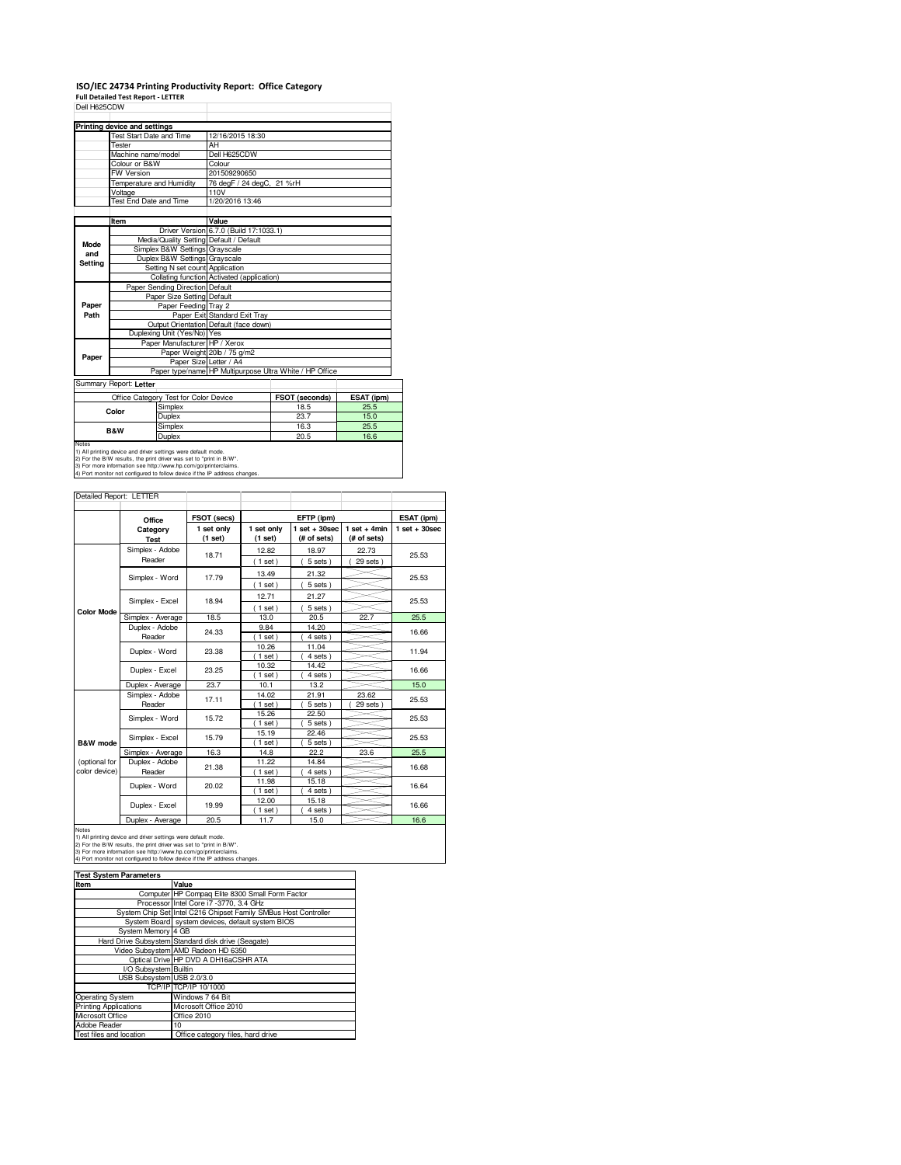# **ISO/IEC 24734 Printing Productivity Report: Office Category Full Detailed Test Report - LETTER** Dell H625CDW

|         | Printing device and settings |                                       |                                                                                   |                |            |  |
|---------|------------------------------|---------------------------------------|-----------------------------------------------------------------------------------|----------------|------------|--|
|         | Test Start Date and Time     |                                       | 12/16/2015 18:30                                                                  |                |            |  |
|         | Tester                       |                                       | AH                                                                                |                |            |  |
|         | Machine name/model           |                                       | Dell H625CDW                                                                      |                |            |  |
|         | Colour or B&W                |                                       | Colour                                                                            |                |            |  |
|         | FW Version                   |                                       | 201509290650                                                                      |                |            |  |
|         | Temperature and Humidity     |                                       | 76 degF / 24 degC, 21 %rH                                                         |                |            |  |
|         | Voltage                      |                                       | 110V                                                                              |                |            |  |
|         | Test End Date and Time       |                                       | 1/20/2016 13:46                                                                   |                |            |  |
|         |                              |                                       |                                                                                   |                |            |  |
|         | Item                         |                                       | Value                                                                             |                |            |  |
|         |                              |                                       | Driver Version 6.7.0 (Build 17:1033.1)                                            |                |            |  |
| Mode    |                              |                                       | Media/Quality Setting Default / Default                                           |                |            |  |
| and     |                              | Simplex B&W Settings Grayscale        |                                                                                   |                |            |  |
| Setting |                              | Duplex B&W Settings Grayscale         |                                                                                   |                |            |  |
|         |                              | Setting N set count Application       |                                                                                   |                |            |  |
|         |                              |                                       | Collating function Activated (application)                                        |                |            |  |
|         |                              | Paper Sending Direction Default       |                                                                                   |                |            |  |
|         |                              | Paper Size Setting Default            |                                                                                   |                |            |  |
| Paper   |                              | Paper Feeding Tray 2                  |                                                                                   |                |            |  |
| Path    |                              |                                       | Paper Exit Standard Exit Tray                                                     |                |            |  |
|         |                              |                                       | Output Orientation Default (face down)                                            |                |            |  |
|         |                              | Duplexing Unit (Yes/No) Yes           |                                                                                   |                |            |  |
|         |                              | Paper Manufacturer HP / Xerox         |                                                                                   |                |            |  |
| Paper   |                              |                                       | Paper Weight 20lb / 75 g/m2                                                       |                |            |  |
|         |                              |                                       | Paper Size Letter / A4<br>Paper type/name HP Multipurpose Ultra White / HP Office |                |            |  |
|         |                              |                                       |                                                                                   |                |            |  |
|         | Summary Report: Letter       |                                       |                                                                                   |                |            |  |
|         |                              | Office Category Test for Color Device |                                                                                   | FSOT (seconds) | ESAT (ipm) |  |
|         | Color                        | Simplex                               |                                                                                   | 18.5           | 25.5       |  |
|         |                              | Duplex                                |                                                                                   | 23.7           | 15.0       |  |
|         |                              | Cimpley                               |                                                                                   | 100            | DEE        |  |

|                                                                            | Office Category Test for Color Device | <b>FSOT (seconds)</b> | ESAI (I |  |  |
|----------------------------------------------------------------------------|---------------------------------------|-----------------------|---------|--|--|
|                                                                            | Simplex                               | 18.5                  | 25.5    |  |  |
| Color                                                                      | Duplex                                | 23.7                  | 15.0    |  |  |
| <b>B&amp;W</b>                                                             | Simplex                               | 16.3                  | 25.5    |  |  |
|                                                                            | Duplex                                | 20.5                  | 16.6    |  |  |
| Notes                                                                      |                                       |                       |         |  |  |
| 1) All printing device and driver settings were default mode.              |                                       |                       |         |  |  |
| 2) For the B/W results, the print driver was set to "print in B/W".        |                                       |                       |         |  |  |
| 3) For more information see http://www.hp.com/go/printerclaims.            |                                       |                       |         |  |  |
| 4) Port monitor not configured to follow device if the IP address changes. |                                       |                       |         |  |  |

|                   | Office                  | FSOT (secs)           | EFTP (ipm)            |                                   |                                  | ESAT (ipm)      |  |
|-------------------|-------------------------|-----------------------|-----------------------|-----------------------------------|----------------------------------|-----------------|--|
|                   | Category<br><b>Test</b> | 1 set only<br>(1 set) | 1 set only<br>(1 set) | $1$ set + 30sec<br>$(f#$ of sets) | $1$ set + 4min<br>$(f#$ of sets) | $1$ set + 30sec |  |
|                   | Simplex - Adobe         | 18.71                 | 12.82                 | 18.97                             | 22.73                            | 25.53           |  |
|                   | Reader                  |                       | (1 set)               | 5 sets)                           | 29 sets                          |                 |  |
|                   | Simplex - Word          | 17.79                 | 13.49                 | 21.32                             |                                  | 25.53           |  |
|                   |                         |                       | (1 set)               | 5 sets)                           |                                  |                 |  |
|                   | Simplex - Excel         | 18.94                 | 12.71                 | 21.27                             |                                  | 25.53           |  |
| <b>Color Mode</b> |                         |                       | (1 set)               | $5 sets$ )                        |                                  |                 |  |
|                   | Simplex - Average       | 18.5                  | 13.0                  | 20.5                              | 22.7                             | 25.5            |  |
|                   | Duplex - Adobe          | 24.33                 | 9.84                  | 14.20                             |                                  | 16.66           |  |
|                   | Reader                  |                       | $(1$ set)             | $4 sets$ )                        |                                  |                 |  |
|                   | Duplex - Word           | 23.38                 | 10.26                 | 11.04                             |                                  | 11.94           |  |
|                   |                         |                       | 1 set                 | 4 sets                            |                                  |                 |  |
|                   | Duplex - Excel          | 23.25                 | 10.32                 | 14.42                             |                                  | 16.66           |  |
|                   |                         |                       | $1$ set               | 4 sets                            |                                  |                 |  |
|                   | Duplex - Average        | 23.7                  | 10.1                  | 13.2                              |                                  | 15.0            |  |
|                   | Simplex - Adobe         | 17.11                 | 14.02                 | 21.91                             | 23.62                            | 25.53           |  |
|                   | Reader                  |                       | $1$ set               | 5 sets)                           | 29 sets                          |                 |  |
|                   | Simplex - Word          | 15.72                 | 15.26                 | 22.50                             |                                  | 25.53           |  |
|                   |                         |                       | $1$ set               | 5 sets )                          |                                  |                 |  |
|                   | Simplex - Excel         | 15.79                 | 15.19                 | 22.46                             |                                  | 25.53           |  |
| B&W mode          |                         |                       | $1$ set               | 5 sets)                           |                                  |                 |  |
|                   | Simplex - Average       | 16.3                  | 14.8                  | 22.2                              | 23.6                             | 25.5            |  |
| (optional for     | Duplex - Adobe          | 21.38                 | 11.22                 | 14.84                             |                                  | 16.68           |  |
| color device)     | Reader                  |                       | 1 set                 | 4 sets)                           |                                  |                 |  |
|                   | Duplex - Word           | 20.02                 | 11.98                 | 15.18                             |                                  | 16.64           |  |
|                   |                         |                       | $1$ set)              | 4 sets)                           |                                  |                 |  |
|                   | Duplex - Excel          | 19.99                 | 12.00                 | 15.18                             |                                  | 16.66           |  |
|                   |                         |                       | $1$ set               | 4 sets                            |                                  |                 |  |
|                   | Duplex - Average        | 20.5                  | 11.7                  | 15.0                              |                                  | 16.6            |  |

| <b>Test System Parameters</b> |                                                                 |  |  |  |
|-------------------------------|-----------------------------------------------------------------|--|--|--|
| Item                          | Value                                                           |  |  |  |
|                               | Computer HP Compag Elite 8300 Small Form Factor                 |  |  |  |
|                               | Processor Intel Core i7 -3770, 3.4 GHz                          |  |  |  |
|                               | System Chip Set Intel C216 Chipset Family SMBus Host Controller |  |  |  |
|                               | System Board system devices, default system BIOS                |  |  |  |
| System Memory 4 GB            |                                                                 |  |  |  |
|                               | Hard Drive Subsystem Standard disk drive (Seagate)              |  |  |  |
|                               | Video Subsystem AMD Radeon HD 6350                              |  |  |  |
|                               | Optical Drive HP DVD A DH16aCSHR ATA                            |  |  |  |
| I/O Subsystem Builtin         |                                                                 |  |  |  |
| USB Subsystem USB 2.0/3.0     |                                                                 |  |  |  |
|                               | TCP/IPITCP/IP 10/1000                                           |  |  |  |
| Operating System              | Windows 7 64 Bit                                                |  |  |  |
| <b>Printing Applications</b>  | Microsoft Office 2010                                           |  |  |  |
| Microsoft Office              | Office 2010                                                     |  |  |  |
| Adobe Reader                  | 10                                                              |  |  |  |
| Test files and location       | Office category files, hard drive                               |  |  |  |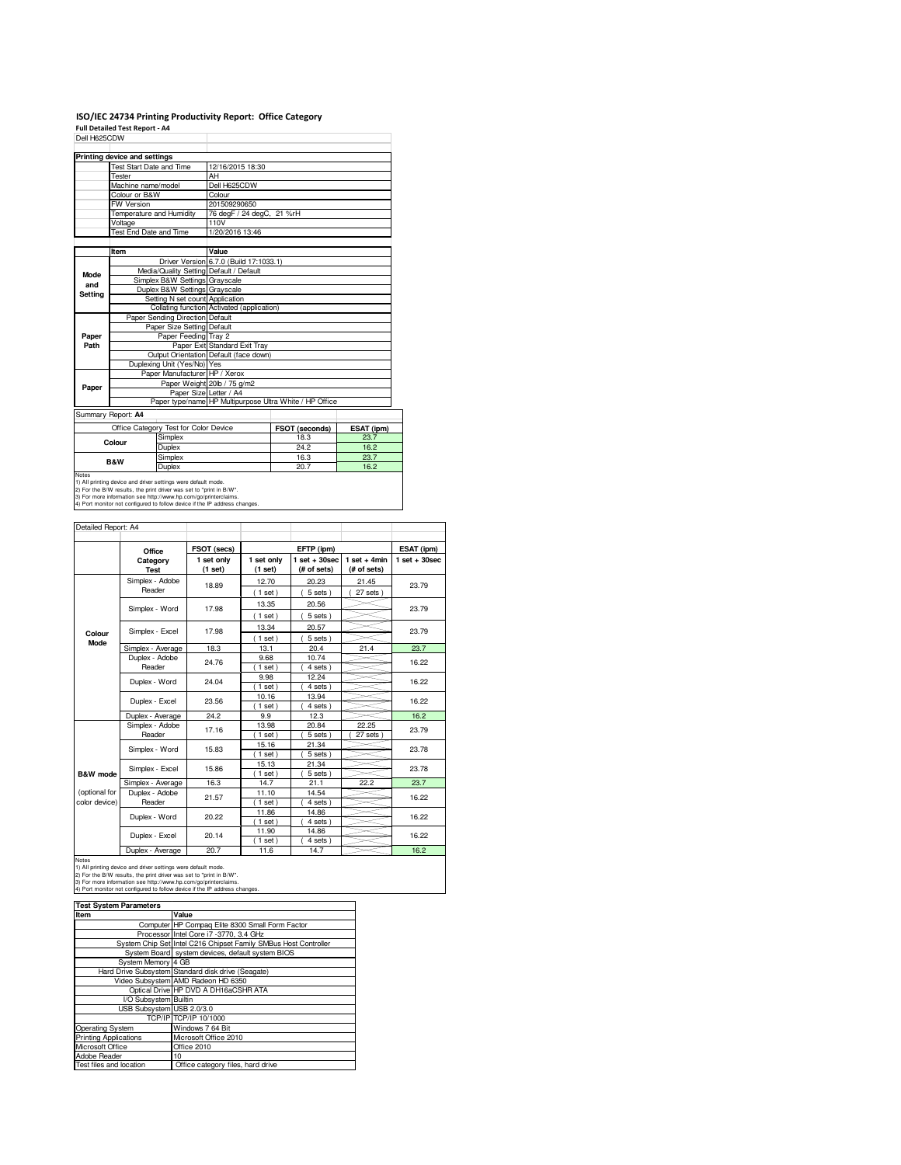### **ISO/IEC 24734 Printing Productivity Report: Office Category**

**Full Detailed Test Report - A4** Dell H625CDW

|                                       | Printing device and settings    |                                                               |                                            |                                                         |      |
|---------------------------------------|---------------------------------|---------------------------------------------------------------|--------------------------------------------|---------------------------------------------------------|------|
|                                       | <b>Test Start Date and Time</b> |                                                               | 12/16/2015 18:30                           |                                                         |      |
|                                       | Tester                          |                                                               | AH                                         |                                                         |      |
|                                       | Machine name/model              |                                                               | Dell H625CDW                               |                                                         |      |
|                                       | Colour or B&W                   |                                                               | Colour                                     |                                                         |      |
|                                       | FW Version                      |                                                               | 201509290650                               |                                                         |      |
|                                       | Temperature and Humidity        |                                                               | 76 degF / 24 degC, 21 %rH                  |                                                         |      |
|                                       | Voltage                         |                                                               | 110V                                       |                                                         |      |
|                                       | Test End Date and Time          |                                                               | 1/20/2016 13:46                            |                                                         |      |
|                                       |                                 |                                                               |                                            |                                                         |      |
|                                       | Item                            |                                                               | Value                                      |                                                         |      |
|                                       |                                 |                                                               | Driver Version 6.7.0 (Build 17:1033.1)     |                                                         |      |
| Mode                                  |                                 |                                                               | Media/Quality Setting Default / Default    |                                                         |      |
| and                                   |                                 | Simplex B&W Settings Grayscale                                |                                            |                                                         |      |
| Settina                               |                                 | Duplex B&W Settings Grayscale                                 |                                            |                                                         |      |
|                                       | Setting N set count Application |                                                               |                                            |                                                         |      |
|                                       |                                 |                                                               | Collating function Activated (application) |                                                         |      |
|                                       | Paper Sending Direction Default |                                                               |                                            |                                                         |      |
|                                       | Paper Size Setting Default      |                                                               |                                            |                                                         |      |
| Paper                                 |                                 | Paper Feeding Tray 2                                          |                                            |                                                         |      |
| Path                                  |                                 |                                                               | Paper Exit Standard Exit Tray              |                                                         |      |
|                                       |                                 |                                                               | Output Orientation Default (face down)     |                                                         |      |
|                                       |                                 | Duplexing Unit (Yes/No) Yes                                   |                                            |                                                         |      |
|                                       |                                 | Paper Manufacturer HP / Xerox                                 |                                            |                                                         |      |
| Paper                                 |                                 | Paper Weight 20lb / 75 g/m2                                   |                                            |                                                         |      |
|                                       |                                 |                                                               | Paper Size Letter / A4                     |                                                         |      |
|                                       |                                 |                                                               |                                            | Paper type/name HP Multipurpose Ultra White / HP Office |      |
|                                       | Summary Report: A4              |                                                               |                                            |                                                         |      |
| Office Category Test for Color Device |                                 |                                                               | FSOT (seconds)                             | ESAT (ipm)                                              |      |
| Simplex<br>Colour                     |                                 |                                                               | 18.3                                       | 23.7                                                    |      |
|                                       |                                 | Duplex                                                        |                                            | 24.2                                                    | 16.2 |
|                                       |                                 | Simplex                                                       |                                            | 16.3                                                    | 23.7 |
|                                       | <b>B&amp;W</b>                  | Duplex                                                        |                                            | 20.7                                                    | 16.2 |
| Notes                                 |                                 | 1) All printing device and driver settings were default mode. |                                            |                                                         |      |

٦

1) All printing device and driver settings were default mode.<br>2) For the B/W results, the print driver was set to "print in B/W".<br>3) For more information see http://www.hp.com/go/printerclaims.<br>4) Port monitor not configur

| Detailed Report: A4   |                                     |                       |                       |                                  |                               |                 |  |
|-----------------------|-------------------------------------|-----------------------|-----------------------|----------------------------------|-------------------------------|-----------------|--|
|                       | Office                              | FSOT (secs)           |                       | EFTP (ipm)                       |                               | ESAT (ipm)      |  |
|                       | Category<br><b>Test</b>             | 1 set only<br>(1 set) | 1 set only<br>(1 set) | $1$ set $+30$ sec<br>(# of sets) | $1$ set + 4min<br>(# of sets) | $1$ set + 30sec |  |
|                       | Simplex - Adobe                     | 18.89                 | 12.70                 | 20.23                            | 21.45                         | 23.79           |  |
|                       | Reader                              |                       | (1 set)               | $5$ sets $)$                     | 27 sets                       |                 |  |
|                       | Simplex - Word                      | 17.98                 | 13.35                 | 20.56                            |                               | 23.79           |  |
|                       |                                     |                       | (1 set)               | 5 sets)                          |                               |                 |  |
|                       | Simplex - Excel                     | 17.98                 | 13.34                 | 20.57                            |                               |                 |  |
| Colour<br><b>Mode</b> |                                     |                       | $1$ set)              | $5$ sets $)$                     |                               | 23.79           |  |
|                       | Simplex - Average                   | 18.3                  | 13.1                  | 20.4                             | 21.4                          | 23.7            |  |
|                       | Duplex - Adobe                      | 24.76                 | 9.68                  | 10.74                            |                               | 16.22           |  |
|                       | Reader                              |                       | $1$ set)              | $4$ sets $)$                     |                               |                 |  |
|                       | Duplex - Word                       | 24.04                 | 9.98                  | 12.24                            |                               | 16.22           |  |
|                       |                                     |                       | $1$ set               | 4 sets)                          |                               |                 |  |
|                       | Duplex - Excel                      | 23.56                 | 10.16                 | 13.94                            |                               | 16.22           |  |
|                       |                                     |                       | $1$ set               | 4 sets)                          |                               |                 |  |
|                       | Duplex - Average<br>Simplex - Adobe | 24.2                  | 9.9<br>13.98          | 12.3<br>20.84                    | 22.25                         | 16.2            |  |
|                       | Reader                              | 17.16                 | $1$ set)              | 5 sets)                          | 27 sets                       | 23.79           |  |
|                       |                                     |                       | 15.16                 | 21.34                            |                               |                 |  |
|                       | Simplex - Word                      | 15.83                 | $1$ set)              | 5 sets)                          |                               | 23.78           |  |
|                       |                                     |                       | 15.13                 | 21.34                            |                               |                 |  |
| B&W mode              | Simplex - Excel                     | 15.86                 | $1$ set               | 5 sets)                          |                               | 23.78           |  |
|                       | Simplex - Average                   | 16.3                  | 14.7                  | 21.1                             | 22.2                          | 23.7            |  |
| (optional for         | Duplex - Adobe                      | 21.57                 | 11.10                 | 14.54                            |                               | 16.22           |  |
| color device)         | Reader                              |                       | $1$ set)              | 4 sets)                          |                               |                 |  |
|                       | Duplex - Word                       | 20.22                 | 11.86                 | 14.86                            |                               | 16.22           |  |
|                       |                                     |                       | $1$ set)              | 4 sets)                          |                               |                 |  |
|                       | Duplex - Excel                      | 20.14                 | 11.90                 | 14.86                            |                               | 16.22           |  |
|                       |                                     |                       | $1$ set               | 4 sets                           |                               |                 |  |
|                       | Duplex - Average                    | 20.7                  | 11.6                  | 14.7                             |                               | 16.2            |  |

Notes<br>1) All printing device and driver settings were default mode.<br>2) For the B/W results, the print driver was set to "print in B/W".<br>3) For more information see thtp://www.hp.com/go/printerclaims.<br>4) Port monitor not co

**Test System Parameters**

| Item                      | Value                                                           |
|---------------------------|-----------------------------------------------------------------|
|                           | Computer HP Compag Elite 8300 Small Form Factor                 |
|                           | Processor Intel Core i7 -3770, 3.4 GHz                          |
|                           | System Chip Set Intel C216 Chipset Family SMBus Host Controller |
|                           | System Board system devices, default system BIOS                |
| System Memory 4 GB        |                                                                 |
|                           | Hard Drive Subsystem Standard disk drive (Seagate)              |
|                           | Video Subsystem AMD Radeon HD 6350                              |
|                           | Optical Drive HP DVD A DH16aCSHR ATA                            |
| I/O Subsystem Builtin     |                                                                 |
| USB Subsystem USB 2.0/3.0 |                                                                 |
|                           | TCP/IP TCP/IP 10/1000                                           |
| Operating System          | Windows 7 64 Bit                                                |
| Printing Applications     | Microsoft Office 2010                                           |
| Microsoft Office          | Office 2010                                                     |
| Adobe Reader              | 10 <sup>1</sup>                                                 |
| Test files and location   | Office category files, hard drive                               |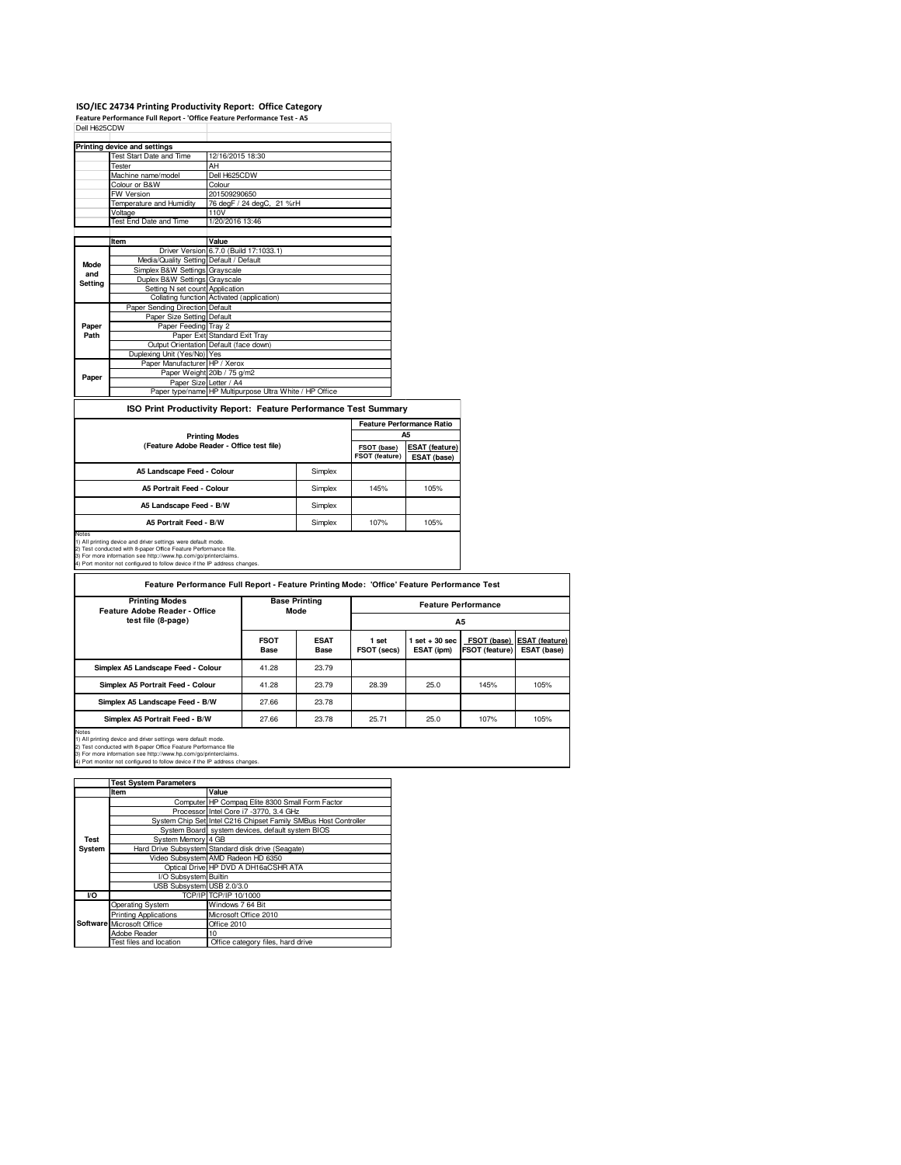# **ISO/IEC 24734 Printing Productivity Report: Office Category Feature Performance Full Report - 'Office Feature Performance Test - A5** Dell H625CDW

|         | <b>Printing device and settings</b>     |                                                         |
|---------|-----------------------------------------|---------------------------------------------------------|
|         | Test Start Date and Time                | 12/16/2015 18:30                                        |
|         | Tester                                  | AH                                                      |
|         | Machine name/model                      | Dell H625CDW                                            |
|         | Colour or B&W                           | Colour                                                  |
|         | FW Version                              | 201509290650                                            |
|         | Temperature and Humidity                | 76 degF / 24 degC, 21 %rH                               |
|         | Voltage                                 | 110V                                                    |
|         | Test End Date and Time                  | 1/20/2016 13:46                                         |
|         |                                         |                                                         |
|         | Item                                    | Value                                                   |
|         |                                         | Driver Version 6.7.0 (Build 17:1033.1)                  |
| Mode    | Media/Quality Setting Default / Default |                                                         |
| and     | Simplex B&W Settings Grayscale          |                                                         |
| Setting | Duplex B&W Settings Grayscale           |                                                         |
|         | Setting N set count Application         |                                                         |
|         |                                         | Collating function Activated (application)              |
|         | Paper Sending Direction Default         |                                                         |
|         | Paper Size Setting Default              |                                                         |
| Paper   | Paper Feeding Tray 2                    |                                                         |
| Path    |                                         | Paper Exit Standard Exit Tray                           |
|         |                                         | Output Orientation Default (face down)                  |
|         | Duplexing Unit (Yes/No) Yes             |                                                         |
|         | Paper Manufacturer HP / Xerox           |                                                         |
| Paper   |                                         | Paper Weight 20lb / 75 g/m2                             |
|         | Paper Size Letter / A4                  |                                                         |
|         |                                         | Paper type/name HP Multipurpose Ultra White / HP Office |
|         |                                         |                                                         |

**ISO Print Productivity Report: Feature Performance Test Summary**

|                                           |         | <b>Feature Performance Ratio</b> |                                      |  |
|-------------------------------------------|---------|----------------------------------|--------------------------------------|--|
| <b>Printing Modes</b>                     |         |                                  | A5                                   |  |
| (Feature Adobe Reader - Office test file) |         | FSOT (base)<br>FSOT (feature)    | <b>ESAT (feature)</b><br>ESAT (base) |  |
| A5 Landscape Feed - Colour                | Simplex |                                  |                                      |  |
| <b>A5 Portrait Feed - Colour</b>          | Simplex | 145%                             | 105%                                 |  |
| A5 Landscape Feed - B/W                   | Simplex |                                  |                                      |  |
| A5 Portrait Feed - B/W                    | Simplex | 107%                             | 105%                                 |  |
| Notes                                     |         |                                  |                                      |  |

Notes<br>1) All printing device and driver settings were default mode.<br>2) Test conducted with 8-paper Office Feature Performance file.<br>3) For more information see thtp://www.hp.com/go/printerclaims.<br>4) Port monitor not config

| Feature Performance Full Report - Feature Printing Mode: 'Office' Feature Performance Test |                              |                     |                            |                                 |                                      |                                      |  |
|--------------------------------------------------------------------------------------------|------------------------------|---------------------|----------------------------|---------------------------------|--------------------------------------|--------------------------------------|--|
| <b>Printing Modes</b><br>Feature Adobe Reader - Office                                     | <b>Base Printing</b><br>Mode |                     | <b>Feature Performance</b> |                                 |                                      |                                      |  |
| test file (8-page)                                                                         |                              |                     | <b>A5</b>                  |                                 |                                      |                                      |  |
|                                                                                            | <b>FSOT</b><br><b>Base</b>   | <b>ESAT</b><br>Base | 1 set<br>FSOT (secs)       | $1$ set $+30$ sec<br>ESAT (ipm) | FSOT (base)<br><b>FSOT (feature)</b> | <b>ESAT (feature)</b><br>ESAT (base) |  |
| Simplex A5 Landscape Feed - Colour                                                         | 41.28                        | 23.79               |                            |                                 |                                      |                                      |  |
| Simplex A5 Portrait Feed - Colour                                                          | 41.28                        | 23.79               | 28.39                      | 25.0                            | 145%                                 | 105%                                 |  |
| Simplex A5 Landscape Feed - B/W                                                            | 27.66                        | 23.78               |                            |                                 |                                      |                                      |  |
| Simplex A5 Portrait Feed - B/W                                                             | 27.66                        | 23.78               | 25.71                      | 25.0                            | 107%                                 | 105%                                 |  |

Notes<br>1) All printing device and driver settings were default mode.<br>2) Test conducted with 8-paper Office Feature Performance file<br>3) For more information see thtp://www.hp.com/go/printerclaims.<br>4) Port monitor not configu

|        | <b>Test System Parameters</b> |                                                                 |
|--------|-------------------------------|-----------------------------------------------------------------|
|        | Item                          | Value                                                           |
|        |                               | Computer HP Compaq Elite 8300 Small Form Factor                 |
|        |                               | Processor Intel Core i7 -3770, 3.4 GHz                          |
|        |                               | System Chip Set Intel C216 Chipset Family SMBus Host Controller |
|        |                               | System Board system devices, default system BIOS                |
| Test   | System Memory 4 GB            |                                                                 |
| System |                               | Hard Drive Subsystem Standard disk drive (Seagate)              |
|        |                               | Video Subsystem AMD Radeon HD 6350                              |
|        |                               | Optical Drive HP DVD A DH16aCSHR ATA                            |
|        | I/O Subsystem Builtin         |                                                                 |
|        | USB Subsystem USB 2.0/3.0     |                                                                 |
| VO     |                               | TCP/IPITCP/IP 10/1000                                           |
|        | Operating System              | Windows 7 64 Bit                                                |
|        | <b>Printing Applications</b>  | Microsoft Office 2010                                           |
|        | Software Microsoft Office     | Office 2010                                                     |
|        | Adobe Reader                  | 10                                                              |
|        | Test files and location       | Office category files, hard drive                               |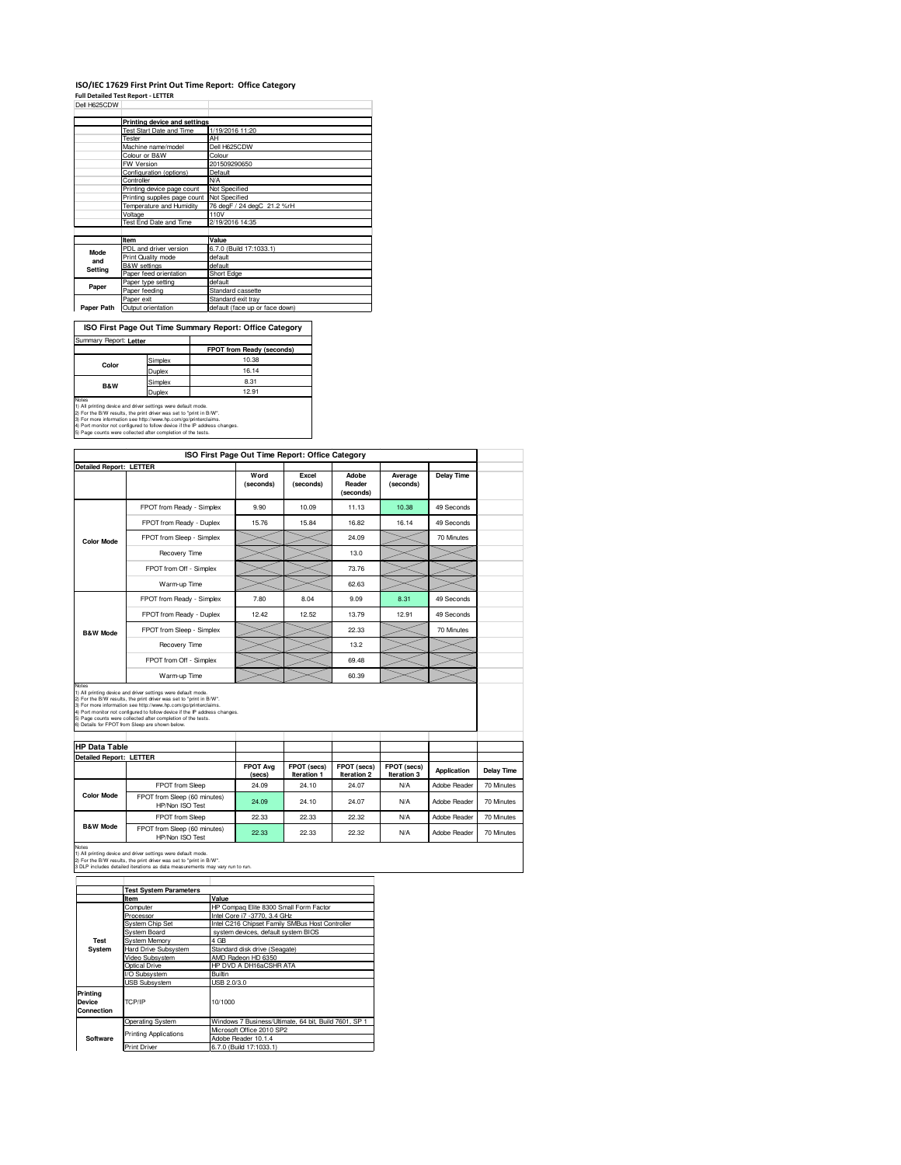#### **ISO/IEC 17629 First Print Out Time Report: Office Category Full Detailed Test Report - LETTER**

| Dell H625CDW |                                            |                                |
|--------------|--------------------------------------------|--------------------------------|
|              | Printing device and settings               |                                |
|              | <b>Test Start Date and Time</b>            | 1/19/2016 11:20                |
|              | Tester                                     | AH                             |
|              | Machine name/model                         | Dell H625CDW                   |
|              | Colour or B&W                              | Colour                         |
|              | FW Version                                 | 201509290650                   |
|              | Configuration (options)                    | Default                        |
|              | Controller                                 | <b>N/A</b>                     |
|              | Printing device page count                 | Not Specified                  |
|              | Printing supplies page count Not Specified |                                |
|              | Temperature and Humidity                   | 76 degF / 24 degC 21.2 %rH     |
|              | Voltage                                    | 110V                           |
|              | Test End Date and Time                     | 2/19/2016 14:35                |
|              |                                            |                                |
|              | Item                                       | Value                          |
| Mode         | PDL and driver version                     | 6.7.0 (Build 17:1033.1)        |
| and          | Print Quality mode                         | default                        |
| Setting      | B&W settings                               | default                        |
|              | Paper feed orientation                     | Short Edge                     |
| Paper        | Paper type setting                         | default                        |
|              | Paper feeding                              | Standard cassette              |
|              | Paper exit                                 | Standard exit tray             |
| Paper Path   | Output orientation                         | default (face up or face down) |

| ISO First Page Out Time Summary Report: Office Category |         |                                  |  |  |  |
|---------------------------------------------------------|---------|----------------------------------|--|--|--|
| Summary Report: Letter                                  |         |                                  |  |  |  |
|                                                         |         | <b>FPOT from Ready (seconds)</b> |  |  |  |
| Color                                                   | Simplex | 10.38                            |  |  |  |
|                                                         | Duplex  | 16.14                            |  |  |  |
| Simplex<br><b>B&amp;W</b>                               |         | 8.31                             |  |  |  |
|                                                         | Duplex  | 12.91                            |  |  |  |
| Notes                                                   |         |                                  |  |  |  |

Notes<br>1) All printing device and driver settings were default mode.<br>2) For the B:W results, the print driver was set to "print in B/W".<br>3) For more information see http://www.hp.com/go/printerclaims.<br>4) Port monitor not co

|                                |                                                                                                                                                                                                                                                                                                                                                                                                          | ISO First Page Out Time Report: Office Category |                            |                              |                            |                   |
|--------------------------------|----------------------------------------------------------------------------------------------------------------------------------------------------------------------------------------------------------------------------------------------------------------------------------------------------------------------------------------------------------------------------------------------------------|-------------------------------------------------|----------------------------|------------------------------|----------------------------|-------------------|
| <b>Detailed Report: LETTER</b> |                                                                                                                                                                                                                                                                                                                                                                                                          |                                                 |                            |                              |                            |                   |
|                                |                                                                                                                                                                                                                                                                                                                                                                                                          | Word<br>(seconds)                               | Excel<br>(seconds)         | Adobe<br>Reader<br>(seconds) | Average<br>(seconds)       | <b>Delay Time</b> |
|                                | FPOT from Ready - Simplex                                                                                                                                                                                                                                                                                                                                                                                | 9.90                                            | 10.09                      | 11.13                        | 10.38                      | 49 Seconds        |
|                                | FPOT from Ready - Duplex                                                                                                                                                                                                                                                                                                                                                                                 | 15.76                                           | 15.84                      | 16.82                        | 16.14                      | 49 Seconds        |
| <b>Color Mode</b>              | FPOT from Sleep - Simplex                                                                                                                                                                                                                                                                                                                                                                                |                                                 |                            | 24.09                        |                            | 70 Minutes        |
|                                | Recovery Time                                                                                                                                                                                                                                                                                                                                                                                            |                                                 |                            | 13.0                         |                            |                   |
|                                | FPOT from Off - Simplex                                                                                                                                                                                                                                                                                                                                                                                  |                                                 |                            | 73.76                        |                            |                   |
|                                | Warm-up Time                                                                                                                                                                                                                                                                                                                                                                                             |                                                 |                            | 62.63                        |                            |                   |
|                                | FPOT from Ready - Simplex                                                                                                                                                                                                                                                                                                                                                                                | 7.80                                            | 8.04                       | 9.09                         | 8.31                       | 49 Seconds        |
|                                | FPOT from Ready - Duplex                                                                                                                                                                                                                                                                                                                                                                                 | 12.42                                           | 12.52                      | 13.79                        | 12.91                      | 49 Seconds        |
| <b>B&amp;W Mode</b>            | FPOT from Sleep - Simplex                                                                                                                                                                                                                                                                                                                                                                                |                                                 |                            | 22.33                        |                            | 70 Minutes        |
|                                | Recovery Time                                                                                                                                                                                                                                                                                                                                                                                            |                                                 |                            | 13.2                         |                            |                   |
|                                |                                                                                                                                                                                                                                                                                                                                                                                                          |                                                 |                            |                              |                            |                   |
|                                | FPOT from Off - Simplex                                                                                                                                                                                                                                                                                                                                                                                  |                                                 |                            | 69.48                        |                            |                   |
| Notes                          | Warm-up Time                                                                                                                                                                                                                                                                                                                                                                                             |                                                 |                            | 60.39                        |                            |                   |
| <b>HP Data Table</b>           | 1) All printing device and driver settings were default mode.<br>2) For the B/W results, the print driver was set to "print in B/W".<br>3) For more information see http://www.hp.com/go/printerclaims.<br>4) Port monitor not configured to follow device if the IP address changes.<br>5) Page counts were collected after completion of the tests.<br>6) Details for FPOT from Sleep are shown below. |                                                 |                            |                              |                            |                   |
|                                |                                                                                                                                                                                                                                                                                                                                                                                                          |                                                 |                            |                              |                            |                   |
| <b>Detailed Report: LETTER</b> |                                                                                                                                                                                                                                                                                                                                                                                                          | <b>FPOT Avg</b><br>(secs)                       | FPOT (secs)<br>Iteration 1 | FPOT (secs)<br>Iteration 2   | FPOT (secs)<br>Iteration 3 | Application       |
|                                | FPOT from Sleep                                                                                                                                                                                                                                                                                                                                                                                          | 24.09                                           | 24.10                      | 24.07                        | <b>N/A</b>                 | Adobe Reader      |
| <b>Color Mode</b>              | FPOT from Sleep (60 minutes)<br>HP/Non ISO Test                                                                                                                                                                                                                                                                                                                                                          | 24.09                                           | 24.10                      | 24.07                        | N/A                        | Adobe Reader      |
| <b>B&amp;W Mode</b>            | FPOT from Sleep                                                                                                                                                                                                                                                                                                                                                                                          | 22.33                                           | 22.33                      | 22.32                        | <b>N/A</b>                 | Adobe Reader      |

Notes 1) All printing device and driver settings were default mode. 2) For the B/W results, the print driver was set to "print in B/W". 3 DLP includes detailed iterations as data measurements may vary run to run.

**Item Value Groupse Elite 8300 Small Form Factor**<br>Processor Intel Core i7 -3770, 3.4 GHz<br>System Chip Set Intel C216 Chipset Family SMBus Host Controller<br>System Chip Set Intel C216 Chipset Family SMBus Host Controller<br>Syste System Memory 4 GB Hard Drive Subsystem Standard disk drive (Seagate) Video Subsystem AMD Radeon HD 6350 Optical Drive HP DVD A DH16aCSHR ATA I/O Subsystem **Builtin** SB Subsystem USB 2.0/3.0 Operating System Windows 7 Business/Ultimate, 64 bit, Build 7601, SP 1 Microsoft Office 2010 SP2 Adobe Reader 10.1.4 Print Driver 6.7.0 (Build 17:1033.1) **Test System Softwa Test System Parameters Printing Device Connection** TCP/IP 10/1000 Printing Applications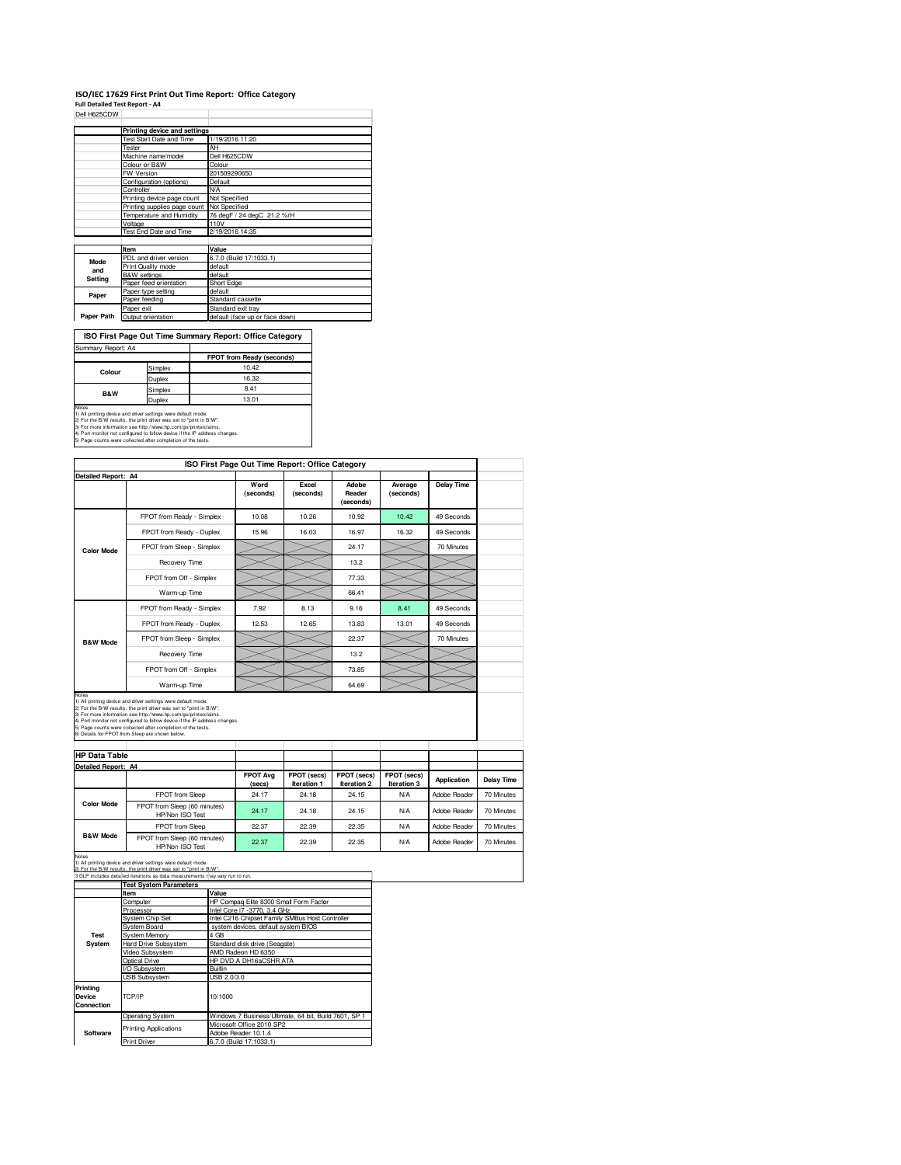## **ISO/IEC 17629 First Print Out Time Report: Office Category<br>Full Detailed Test Report - A4<br>Dell H625CDW**

|            | Printing device and settings               |                                |
|------------|--------------------------------------------|--------------------------------|
|            | Test Start Date and Time                   | 1/19/2016 11:20                |
|            | Tester                                     | AH                             |
|            | Machine name/model                         | Dell H625CDW                   |
|            | Colour or B&W                              | Colour                         |
|            | FW Version                                 | 201509290650                   |
|            | Configuration (options)                    | Default                        |
|            | Controller                                 | <b>N/A</b>                     |
|            | Printing device page count                 | Not Specified                  |
|            | Printing supplies page count Not Specified |                                |
|            | Temperature and Humidity                   | 76 degF / 24 degC 21.2 %rH     |
|            | Voltage                                    | 110V                           |
|            | Test End Date and Time                     | 2/19/2016 14:35                |
|            |                                            |                                |
|            | Item                                       | Value                          |
| Mode       | PDL and driver version                     | 6.7.0 (Build 17:1033.1)        |
|            | Print Quality mode                         | default                        |
| and        | <b>B&amp;W</b> settings                    | default                        |
| Setting    | Paper feed orientation                     | Short Edge                     |
|            | Paper type setting                         | default                        |
| Paper      | Paper feeding                              | Standard cassette              |
|            | Paper exit                                 | Standard exit tray             |
| Paper Path | Output orientation                         | default (face up or face down) |

**ISO First Page Out Time Summary Report: Office Category** Summary Report: A4 ┱

|        |         | FPOT from Ready (seconds) |
|--------|---------|---------------------------|
| Colour | Simplex | 10.42                     |
|        | Duplex  | 16.32                     |
| B&W    | Simplex | 8.41                      |
|        | Duplex  | 13.01                     |
| Notes  |         |                           |

Notes<br>1) All printing device and driver settings were default mode.<br>2) For the B:W results, the print driver was set to "print in B/W".<br>3) For more information see http://www.hp.com/go/printerclaims.<br>4) Port monitor not co

| ISO First Page Out Time Report: Office Category |                           |                   |                    |                              |                      |            |
|-------------------------------------------------|---------------------------|-------------------|--------------------|------------------------------|----------------------|------------|
| Detailed Report: A4                             |                           | Word<br>(seconds) | Excel<br>(seconds) | Adobe<br>Reader<br>(seconds) | Average<br>(seconds) | Delay Time |
|                                                 | FPOT from Ready - Simplex | 10.08             | 10.26              | 10.92                        | 10.42                | 49 Seconds |
|                                                 | FPOT from Ready - Duplex  | 15.96             | 16.03              | 16.97                        | 16.32                | 49 Seconds |
| <b>Color Mode</b>                               | FPOT from Sleep - Simplex |                   |                    | 24.17                        |                      | 70 Minutes |
|                                                 | Recovery Time             |                   |                    | 13.2                         |                      |            |
|                                                 | FPOT from Off - Simplex   |                   |                    | 77.33                        |                      |            |
|                                                 | Warm-up Time              |                   |                    | 66.41                        |                      |            |
|                                                 | FPOT from Ready - Simplex | 7.92              | 8.13               | 9.16                         | 8.41                 | 49 Seconds |
|                                                 | FPOT from Ready - Duplex  | 12.53             | 12.65              | 13.83                        | 13.01                | 49 Seconds |
| <b>B&amp;W Mode</b>                             | FPOT from Sleep - Simplex |                   |                    | 22.37                        |                      | 70 Minutes |
|                                                 | Recovery Time             |                   |                    | 13.2                         |                      |            |
|                                                 | FPOT from Off - Simplex   |                   |                    | 73.85                        |                      |            |
|                                                 | Warm-up Time              |                   |                    | 64.69                        |                      |            |

Notes<br>1) All printing device and driver settings were default mode.<br>2) For the B/W results, the print driver was set to "print in B/W".<br>3) For more information see ittp://www.thp.com/gopinfrierclaims.<br>4) Port monitor not c

|                            | <b>HP Data Table</b>                            |                           |                            |                            |                            |              |            |
|----------------------------|-------------------------------------------------|---------------------------|----------------------------|----------------------------|----------------------------|--------------|------------|
| <b>Detailed Report: A4</b> |                                                 |                           |                            |                            |                            |              |            |
|                            |                                                 | <b>FPOT Ava</b><br>(secs) | FPOT (secs)<br>Iteration 1 | FPOT (secs)<br>Iteration 2 | FPOT (secs)<br>Iteration 3 | Application  | Delay Time |
|                            | FPOT from Sleep                                 | 24.17                     | 24.18                      | 24.15                      | <b>N/A</b>                 | Adobe Reader | 70 Minutes |
| <b>Color Mode</b>          | FPOT from Sleep (60 minutes)<br>HP/Non ISO Test | 24.17                     | 24.18                      | 24.15                      | N/A                        | Adobe Reader | 70 Minutes |
|                            | FPOT from Sleep                                 | 22.37                     | 22.39                      | 22.35                      | <b>N/A</b>                 | Adobe Reader | 70 Minutes |
| <b>B&amp;W Mode</b>        | FPOT from Sleep (60 minutes)<br>HP/Non ISO Test | 22.37                     | 22.39                      | 22.35                      | <b>N/A</b>                 | Adobe Reader | 70 Minutes |

Notes 1) All printing device and driver settings were default mode. 2) For the B/W results, the print driver was set to "print in B/W".

|                                  | 3 DLP includes detailed iterations as data measurements may vary run to run. |                                                       |  |
|----------------------------------|------------------------------------------------------------------------------|-------------------------------------------------------|--|
|                                  | <b>Test System Parameters</b>                                                |                                                       |  |
|                                  | Item                                                                         | Value                                                 |  |
|                                  | Computer                                                                     | HP Compag Elite 8300 Small Form Factor                |  |
|                                  | Processor                                                                    | Intel Core i7 -3770, 3.4 GHz                          |  |
|                                  | System Chip Set                                                              | Intel C216 Chipset Family SMBus Host Controller       |  |
|                                  | System Board                                                                 | system devices, default system BIOS                   |  |
| <b>Test</b>                      | <b>System Memory</b>                                                         | 4 GB                                                  |  |
| System                           | <b>Hard Drive Subsystem</b>                                                  | Standard disk drive (Seagate)                         |  |
|                                  | Video Subsystem                                                              | AMD Radeon HD 6350                                    |  |
|                                  | Optical Drive                                                                | HP DVD A DH16aCSHR ATA                                |  |
|                                  | I/O Subsystem                                                                | Builtin                                               |  |
|                                  | <b>USB Subsystem</b>                                                         | USB 2.0/3.0                                           |  |
| Printina<br>Device<br>Connection | TCP/IP                                                                       | 10/1000                                               |  |
|                                  | Operating System                                                             | Windows 7 Business/Ultimate, 64 bit, Build 7601, SP 1 |  |
|                                  | <b>Printing Applications</b>                                                 | Microsoft Office 2010 SP2                             |  |
| Software                         |                                                                              | Adobe Reader 10.1.4                                   |  |
|                                  | <b>Print Driver</b>                                                          | 6.7.0 (Build 17:1033.1)                               |  |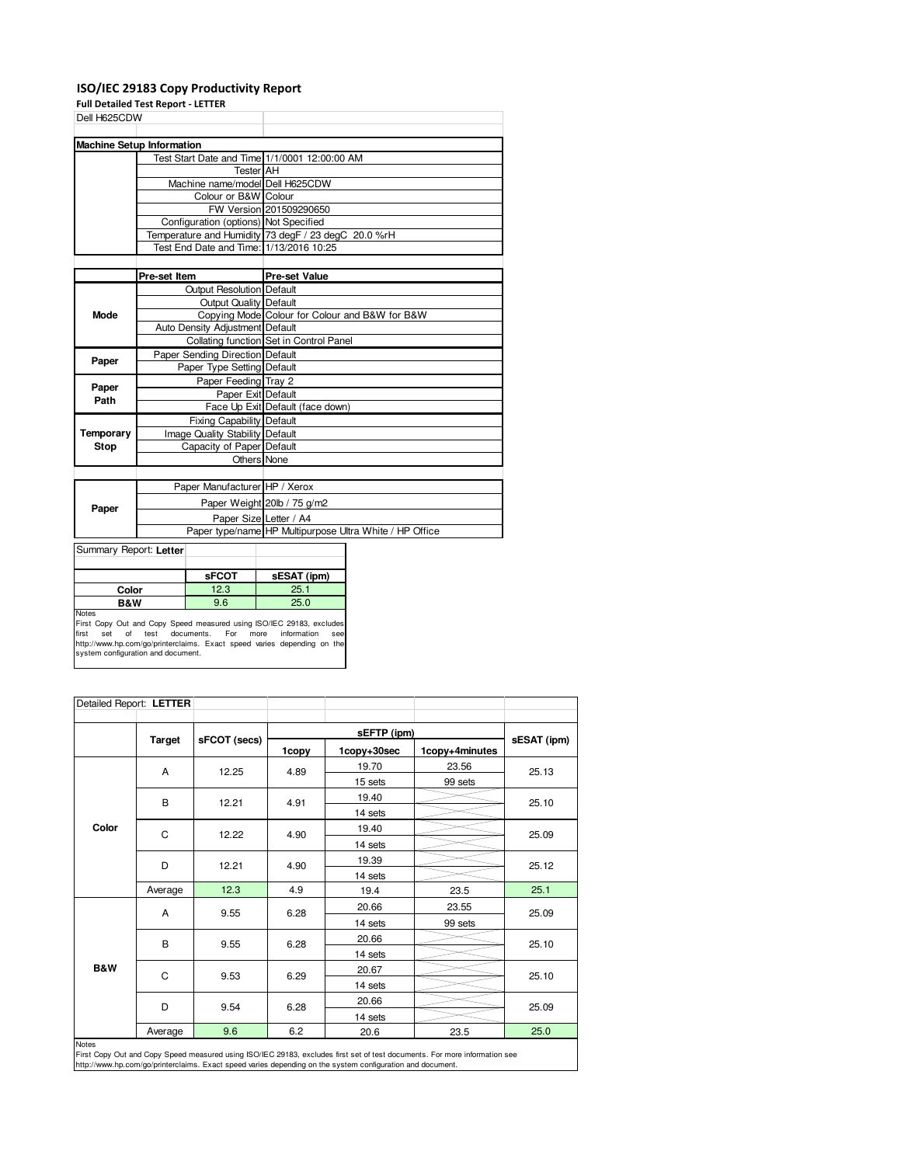### **ISO/IEC 29183 Copy Productivity Report**

**Full Detailed Test Report - LETTER**

| Dell H625CDW |                                               |                                                         |
|--------------|-----------------------------------------------|---------------------------------------------------------|
|              |                                               |                                                         |
|              | <b>Machine Setup Information</b>              |                                                         |
|              | Test Start Date and Time 1/1/0001 12:00:00 AM |                                                         |
|              | <b>Tester AH</b>                              |                                                         |
|              | Machine name/model Dell H625CDW               |                                                         |
|              | Colour or B&W Colour                          |                                                         |
|              |                                               | FW Version 201509290650                                 |
|              | Configuration (options) Not Specified         |                                                         |
|              |                                               | Temperature and Humidity 73 degF / 23 degC 20.0 %rH     |
|              | Test End Date and Time: 1/13/2016 10:25       |                                                         |
|              |                                               |                                                         |
|              | Pre-set Item                                  | <b>Pre-set Value</b>                                    |
|              | <b>Output Resolution Default</b>              |                                                         |
|              | <b>Output Quality Default</b>                 |                                                         |
| Mode         |                                               | Copying Mode Colour for Colour and B&W for B&W          |
|              | Auto Density Adjustment Default               |                                                         |
|              |                                               | Collating function Set in Control Panel                 |
| Paper        | Paper Sending Direction Default               |                                                         |
|              | Paper Type Setting Default                    |                                                         |
| Paper        | Paper Feeding Tray 2                          |                                                         |
| Path         | Paper Exit Default                            |                                                         |
|              |                                               | Face Up Exit Default (face down)                        |
|              | Fixing Capability Default                     |                                                         |
| Temporary    | Image Quality Stability Default               |                                                         |
| <b>Stop</b>  | Capacity of Paper Default                     |                                                         |
|              | Others None                                   |                                                         |
|              |                                               |                                                         |
|              | Paper Manufacturer HP / Xerox                 |                                                         |
| Paper        |                                               | Paper Weight 20lb / 75 g/m2                             |
|              | Paper Size Letter / A4                        |                                                         |
|              |                                               | Paper type/name HP Multipurpose Ultra White / HP Office |
|              |                                               |                                                         |

Summary Report: **Letter**

|              | <b>sFCOT</b> | sESAT (ipm) |
|--------------|--------------|-------------|
| Color        | 12.3         | 25.1        |
| B&W          | 9.6          | 25.0        |
| <b>Notes</b> |              |             |

Notes<br>First Copy Out and Copy Speed measured using ISO/IEC 29183, excludes<br>first set of test documents. For more information see<br>http://www.hp.com/go/printerclaims. Exact speed varies depending on the<br>system configuration

| Detailed Report: LETTER |               |              |       |             |                |             |  |
|-------------------------|---------------|--------------|-------|-------------|----------------|-------------|--|
|                         |               |              |       | sEFTP (ipm) |                |             |  |
|                         | <b>Target</b> | sFCOT (secs) | 1copy | 1copy+30sec | 1copy+4minutes | sESAT (ipm) |  |
|                         | A             | 12.25        | 4.89  | 19.70       | 23.56          | 25.13       |  |
|                         |               |              |       | 15 sets     | 99 sets        |             |  |
|                         | B             | 12.21        | 4.91  | 19.40       |                | 25.10       |  |
|                         |               |              |       | 14 sets     |                |             |  |
| Color                   | C             | 12.22        | 4.90  | 19.40       |                | 25.09       |  |
|                         |               |              |       | 14 sets     |                |             |  |
|                         | D             | 12.21        | 4.90  | 19.39       |                | 25.12       |  |
|                         |               |              |       | 14 sets     |                |             |  |
|                         | Average       | 12.3         | 4.9   | 19.4        | 23.5           | 25.1        |  |
|                         | Α             | 9.55         | 6.28  | 20.66       | 23.55          | 25.09       |  |
|                         |               |              |       | 14 sets     | 99 sets        |             |  |
|                         | B             | 9.55         | 6.28  | 20.66       |                | 25.10       |  |
|                         |               |              |       | 14 sets     |                |             |  |
| B&W                     | C             | 9.53         | 6.29  | 20.67       |                | 25.10       |  |
|                         |               |              |       | 14 sets     |                |             |  |
|                         | D             | 9.54         | 6.28  | 20.66       |                | 25.09       |  |
|                         |               |              |       | 14 sets     |                |             |  |
|                         | Average       | 9.6          | 6.2   | 20.6        | 23.5           | 25.0        |  |

Average 8.6 8.2 20.6 23.5 25.0<br>Notes<br>First Copy Out and Copy Speed measured using ISO/IEC 29183, excludes first set of test documents. For more information see<br>http://www.hp.com/go/printerclaims. Exact speed varies dependi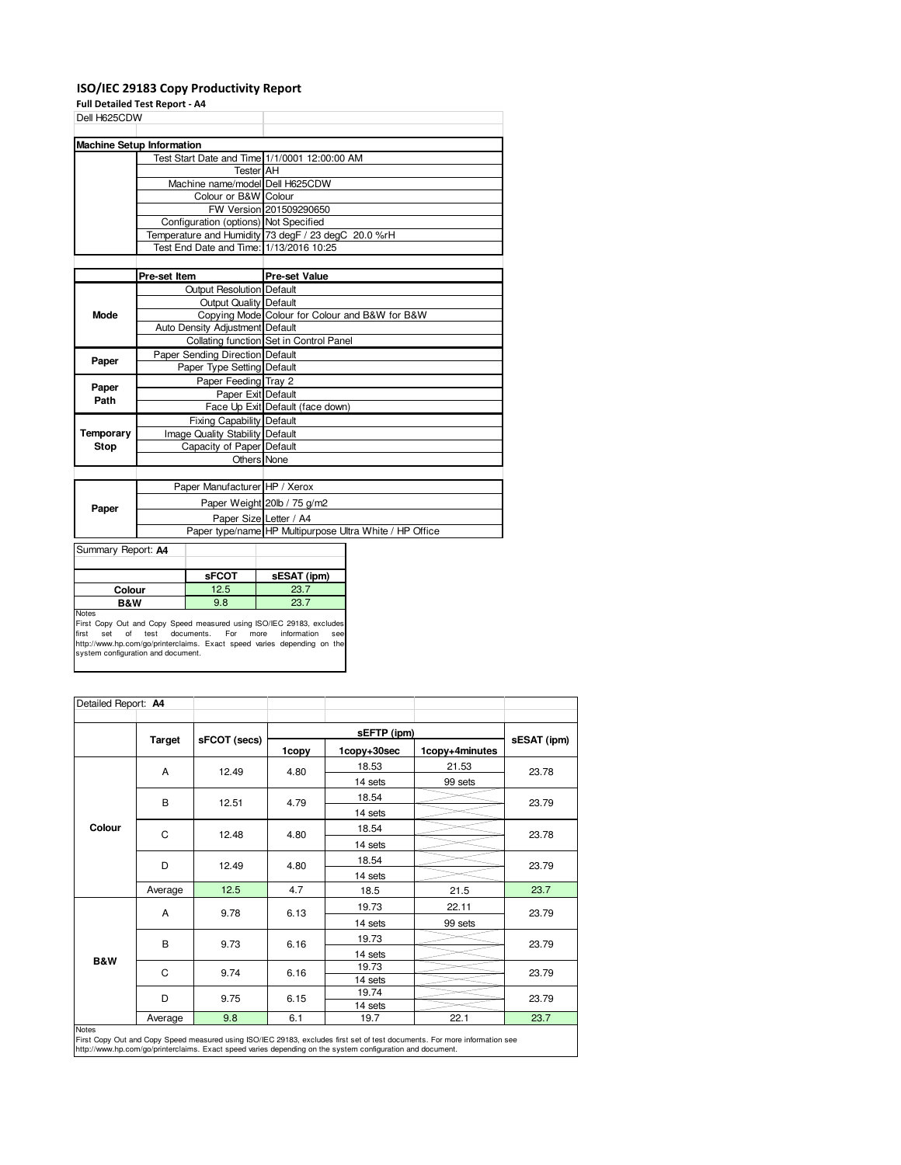### **ISO/IEC 29183 Copy Productivity Report**

**Full Detailed Test Report - A4**

| Dell H625CDW       |                                               |                                                         |
|--------------------|-----------------------------------------------|---------------------------------------------------------|
|                    |                                               |                                                         |
|                    | <b>Machine Setup Information</b>              |                                                         |
|                    | Test Start Date and Time 1/1/0001 12:00:00 AM |                                                         |
|                    | <b>Tester AH</b>                              |                                                         |
|                    | Machine name/model Dell H625CDW               |                                                         |
|                    | Colour or B&W Colour                          |                                                         |
|                    |                                               | FW Version 201509290650                                 |
|                    | Configuration (options) Not Specified         |                                                         |
|                    |                                               | Temperature and Humidity 73 degF / 23 degC 20.0 %rH     |
|                    | Test End Date and Time: 1/13/2016 10:25       |                                                         |
|                    |                                               |                                                         |
|                    | Pre-set Item                                  | <b>Pre-set Value</b>                                    |
|                    | Output Resolution Default                     |                                                         |
|                    | <b>Output Quality Default</b>                 |                                                         |
| <b>Mode</b>        |                                               | Copying Mode Colour for Colour and B&W for B&W          |
|                    | Auto Density Adjustment Default               |                                                         |
|                    |                                               | Collating function Set in Control Panel                 |
| Paper              | Paper Sending Direction Default               |                                                         |
|                    | Paper Type Setting Default                    |                                                         |
| Paper              | Paper Feeding Tray 2                          |                                                         |
| Path               | Paper Exit Default                            |                                                         |
|                    |                                               | Face Up Exit Default (face down)                        |
|                    | <b>Fixing Capability Default</b>              |                                                         |
| Temporary          | Image Quality Stability Default               |                                                         |
| <b>Stop</b>        | Capacity of Paper Default                     |                                                         |
|                    | <b>Others</b> None                            |                                                         |
|                    |                                               |                                                         |
|                    | Paper Manufacturer HP / Xerox                 |                                                         |
| Paper              |                                               | Paper Weight 20lb / 75 g/m2                             |
|                    | Paper Size Letter / A4                        |                                                         |
|                    |                                               | Paper type/name HP Multipurpose Ultra White / HP Office |
| Summary Report: A4 |                                               |                                                         |

| $J$ our integral $\sim$ meport. A $\sim$ |              |             |
|------------------------------------------|--------------|-------------|
|                                          |              |             |
|                                          | <b>sFCOT</b> | sESAT (ipm) |
| Colour                                   | 12.5         | 23.7        |
| <b>B&amp;W</b>                           | 9.8          | 23.7        |
| Notas                                    |              |             |

Notes<br>First Copy Out and Copy Speed measured using ISO/IEC 29183, excludes<br>first set of test documents. For more information see<br>http://www.hp.com/go/printerclaims. Exact speed varies depending on the<br>system configuration

|        |               |              |       | sEFTP (ipm) |                |       |
|--------|---------------|--------------|-------|-------------|----------------|-------|
|        | <b>Target</b> | sFCOT (secs) |       | sESAT (ipm) |                |       |
|        |               |              | 1copy | 1copy+30sec | 1copy+4minutes |       |
|        | Α             | 12.49        | 4.80  | 18.53       | 21.53          | 23.78 |
|        |               |              |       | 14 sets     | 99 sets        |       |
|        | B             |              | 4.79  | 18.54       |                | 23.79 |
|        |               | 12.51        |       | 14 sets     |                |       |
| Colour |               | 12.48        | 4.80  | 18.54       |                | 23.78 |
|        | C             |              |       | 14 sets     |                |       |
|        |               | 12.49        | 4.80  | 18.54       |                | 23.79 |
|        | D             |              |       | 14 sets     |                |       |
|        | Average       | 12.5         | 4.7   | 18.5        | 21.5           | 23.7  |
|        |               | 9.78         | 6.13  | 19.73       | 22.11          | 23.79 |
|        | A             |              |       | 14 sets     | 99 sets        |       |
|        |               | 9.73         | 6.16  | 19.73       |                | 23.79 |
|        | B             |              |       | 14 sets     |                |       |
| B&W    | C             | 9.74         | 6.16  | 19.73       |                | 23.79 |
|        |               |              |       | 14 sets     |                |       |
|        | D             | 9.75         | 6.15  | 19.74       |                | 23.79 |
|        |               |              |       | 14 sets     |                |       |
|        | Average       | 9.8          | 6.1   | 19.7        | 22.1           | 23.7  |

 $\overline{\phantom{a}}$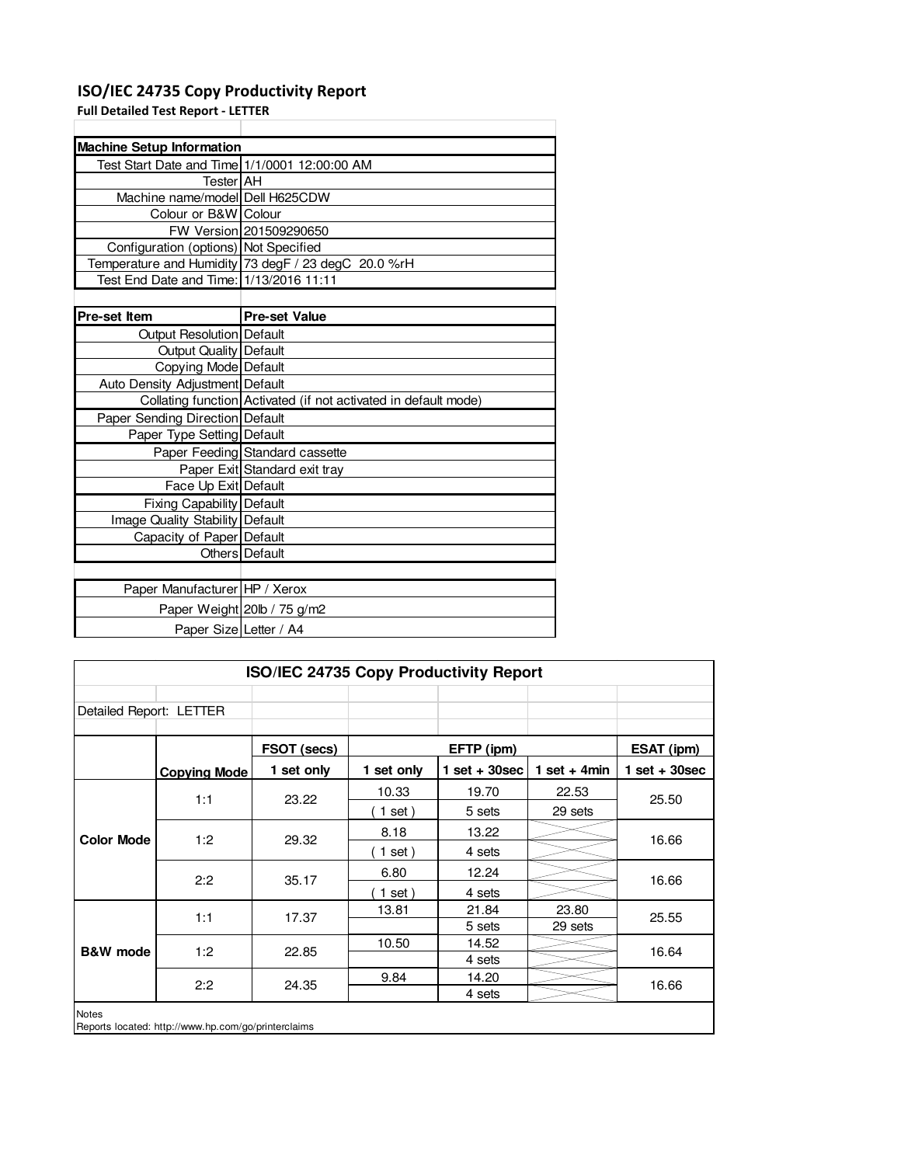### **ISO/IEC 24735 Copy Productivity Report**

**Full Detailed Test Report - LETTER**

| <b>Machine Setup Information</b>              |                                                                 |  |  |  |  |
|-----------------------------------------------|-----------------------------------------------------------------|--|--|--|--|
| Test Start Date and Time 1/1/0001 12:00:00 AM |                                                                 |  |  |  |  |
| <b>Tester AH</b>                              |                                                                 |  |  |  |  |
| Machine name/model Dell H625CDW               |                                                                 |  |  |  |  |
| Colour or B&W Colour                          |                                                                 |  |  |  |  |
|                                               | FW Version 201509290650                                         |  |  |  |  |
| Configuration (options) Not Specified         |                                                                 |  |  |  |  |
|                                               | Temperature and Humidity 73 degF / 23 degC 20.0 %rH             |  |  |  |  |
| Test End Date and Time: 1/13/2016 11:11       |                                                                 |  |  |  |  |
|                                               |                                                                 |  |  |  |  |
| <b>Pre-set Item</b>                           | <b>Pre-set Value</b>                                            |  |  |  |  |
| Output Resolution Default                     |                                                                 |  |  |  |  |
| <b>Output Quality   Default</b>               |                                                                 |  |  |  |  |
| Copying Mode Default                          |                                                                 |  |  |  |  |
| <b>Auto Density Adjustment Default</b>        |                                                                 |  |  |  |  |
|                                               | Collating function Activated (if not activated in default mode) |  |  |  |  |
| Paper Sending Direction Default               |                                                                 |  |  |  |  |
| Paper Type Setting Default                    |                                                                 |  |  |  |  |
|                                               | Paper Feeding Standard cassette                                 |  |  |  |  |
|                                               | Paper Exit Standard exit tray                                   |  |  |  |  |
| Face Up Exit Default                          |                                                                 |  |  |  |  |
| Fixing Capability   Default                   |                                                                 |  |  |  |  |
| Image Quality Stability Default               |                                                                 |  |  |  |  |
| Capacity of Paper Default                     |                                                                 |  |  |  |  |
|                                               | Others Default                                                  |  |  |  |  |
|                                               |                                                                 |  |  |  |  |
| Paper Manufacturer HP / Xerox                 |                                                                 |  |  |  |  |
|                                               | Paper Weight 20lb / 75 g/m2                                     |  |  |  |  |
| Paper Size Letter / A4                        |                                                                 |  |  |  |  |

| ISO/IEC 24735 Copy Productivity Report |                                                     |             |            |                 |                 |                 |
|----------------------------------------|-----------------------------------------------------|-------------|------------|-----------------|-----------------|-----------------|
| Detailed Report: LETTER                |                                                     |             |            |                 |                 |                 |
|                                        |                                                     | FSOT (secs) | EFTP (ipm) |                 |                 | ESAT (ipm)      |
|                                        | <b>Copying Mode</b>                                 | 1 set only  | 1 set only | $1$ set + 30sec | 1 set + 4 $min$ | $1$ set + 30sec |
|                                        | 1:1                                                 | 23.22       | 10.33      | 19.70           | 22.53           | 25.50           |
| <b>Color Mode</b>                      |                                                     |             | $1$ set)   | 5 sets          | 29 sets         |                 |
|                                        | 1:2                                                 | 29.32       | 8.18       | 13.22           |                 | 16.66           |
|                                        |                                                     |             | $1$ set)   | 4 sets          |                 |                 |
|                                        | 2:2                                                 | 35.17       | 6.80       | 12.24           |                 | 16.66           |
|                                        |                                                     |             | $1$ set)   | 4 sets          |                 |                 |
|                                        | 1:1                                                 | 17.37       | 13.81      | 21.84           | 23.80           | 25.55           |
|                                        |                                                     |             |            | 5 sets          | 29 sets         |                 |
| <b>B&amp;W</b> mode                    | 1:2                                                 | 22.85       | 10.50      | 14.52           |                 | 16.64           |
|                                        |                                                     |             |            | 4 sets          |                 |                 |
|                                        | 2:2                                                 | 24.35       | 9.84       | 14.20           |                 | 16.66           |
|                                        |                                                     |             |            | 4 sets          |                 |                 |
| <b>Notes</b>                           | Reports located: http://www.hp.com/go/printerclaims |             |            |                 |                 |                 |